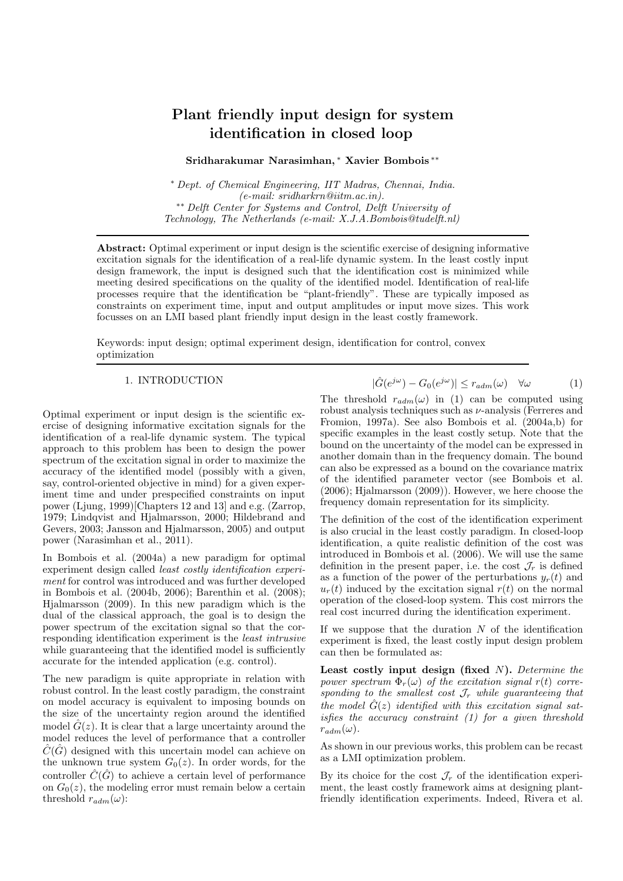# Plant friendly input design for system identification in closed loop

# Sridharakumar Narasimhan, <sup>∗</sup> Xavier Bombois ∗∗

<sup>∗</sup> Dept. of Chemical Engineering, IIT Madras, Chennai, India.  $(e-mail: sridharkrn@iitm.ac.in).$ ∗∗ Delft Center for Systems and Control, Delft University of Technology, The Netherlands (e-mail: X.J.A.Bombois@tudelft.nl)

Abstract: Optimal experiment or input design is the scientific exercise of designing informative excitation signals for the identification of a real-life dynamic system. In the least costly input design framework, the input is designed such that the identification cost is minimized while meeting desired specifications on the quality of the identified model. Identification of real-life processes require that the identification be "plant-friendly". These are typically imposed as constraints on experiment time, input and output amplitudes or input move sizes. This work focusses on an LMI based plant friendly input design in the least costly framework.

Keywords: input design; optimal experiment design, identification for control, convex optimization

#### 1. INTRODUCTION

Optimal experiment or input design is the scientific exercise of designing informative excitation signals for the identification of a real-life dynamic system. The typical approach to this problem has been to design the power spectrum of the excitation signal in order to maximize the accuracy of the identified model (possibly with a given, say, control-oriented objective in mind) for a given experiment time and under prespecified constraints on input power (Ljung, 1999)[Chapters 12 and 13] and e.g. (Zarrop, 1979; Lindqvist and Hjalmarsson, 2000; Hildebrand and Gevers, 2003; Jansson and Hjalmarsson, 2005) and output power (Narasimhan et al., 2011).

In Bombois et al. (2004a) a new paradigm for optimal experiment design called least costly identification experiment for control was introduced and was further developed in Bombois et al. (2004b, 2006); Barenthin et al. (2008); Hjalmarsson (2009). In this new paradigm which is the dual of the classical approach, the goal is to design the power spectrum of the excitation signal so that the corresponding identification experiment is the least intrusive while guaranteeing that the identified model is sufficiently accurate for the intended application (e.g. control).

The new paradigm is quite appropriate in relation with robust control. In the least costly paradigm, the constraint on model accuracy is equivalent to imposing bounds on the size of the uncertainty region around the identified model  $\hat{G}(z)$ . It is clear that a large uncertainty around the model reduces the level of performance that a controller  $\hat{C}(\hat{G})$  designed with this uncertain model can achieve on the unknown true system  $G_0(z)$ . In order words, for the controller  $\hat{C}(\hat{G})$  to achieve a certain level of performance on  $G_0(z)$ , the modeling error must remain below a certain threshold  $r_{adm}(\omega)$ :

$$
|\hat{G}(e^{j\omega}) - G_0(e^{j\omega})| \le r_{adm}(\omega) \quad \forall \omega \tag{1}
$$

The threshold  $r_{adm}(\omega)$  in (1) can be computed using robust analysis techniques such as  $\nu$ -analysis (Ferreres and Fromion, 1997a). See also Bombois et al. (2004a,b) for specific examples in the least costly setup. Note that the bound on the uncertainty of the model can be expressed in another domain than in the frequency domain. The bound can also be expressed as a bound on the covariance matrix of the identified parameter vector (see Bombois et al. (2006); Hjalmarsson (2009)). However, we here choose the frequency domain representation for its simplicity.

The definition of the cost of the identification experiment is also crucial in the least costly paradigm. In closed-loop identification, a quite realistic definition of the cost was introduced in Bombois et al. (2006). We will use the same definition in the present paper, i.e. the cost  $\mathcal{J}_r$  is defined as a function of the power of the perturbations  $y_r(t)$  and  $u_r(t)$  induced by the excitation signal  $r(t)$  on the normal operation of the closed-loop system. This cost mirrors the real cost incurred during the identification experiment.

If we suppose that the duration  $N$  of the identification experiment is fixed, the least costly input design problem can then be formulated as:

Least costly input design (fixed  $N$ ). Determine the power spectrum  $\overline{\Phi}_r(\omega)$  of the excitation signal r(t) corresponding to the smallest cost  $\mathcal{J}_r$  while guaranteeing that the model  $\hat{G}(z)$  identified with this excitation signal satisfies the accuracy constraint (1) for a given threshold  $r_{adm}(\omega)$ .

As shown in our previous works, this problem can be recast as a LMI optimization problem.

By its choice for the cost  $\mathcal{J}_r$  of the identification experiment, the least costly framework aims at designing plantfriendly identification experiments. Indeed, Rivera et al.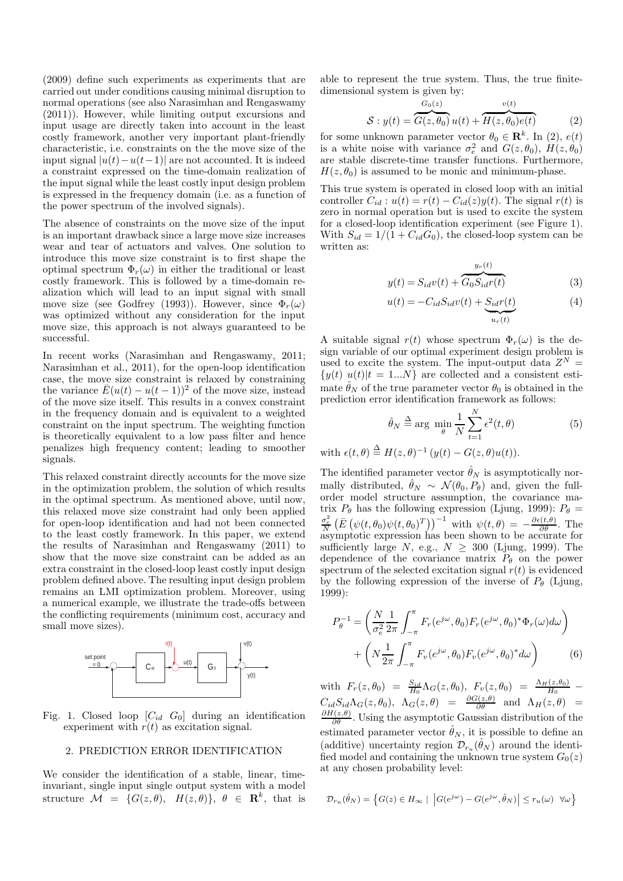(2009) define such experiments as experiments that are carried out under conditions causing minimal disruption to normal operations (see also Narasimhan and Rengaswamy (2011)). However, while limiting output excursions and input usage are directly taken into account in the least costly framework, another very important plant-friendly characteristic, i.e. constraints on the the move size of the input signal  $|u(t)-u(t-1)|$  are not accounted. It is indeed a constraint expressed on the time-domain realization of the input signal while the least costly input design problem is expressed in the frequency domain (i.e. as a function of the power spectrum of the involved signals).

The absence of constraints on the move size of the input is an important drawback since a large move size increases wear and tear of actuators and valves. One solution to introduce this move size constraint is to first shape the optimal spectrum  $\Phi_r(\omega)$  in either the traditional or least costly framework. This is followed by a time-domain realization which will lead to an input signal with small move size (see Godfrey (1993)). However, since  $\Phi_r(\omega)$ was optimized without any consideration for the input move size, this approach is not always guaranteed to be successful.

In recent works (Narasimhan and Rengaswamy, 2011; Narasimhan et al., 2011), for the open-loop identification case, the move size constraint is relaxed by constraining the variance  $\bar{E}(u(t) - u(t-1))^2$  of the move size, instead of the move size itself. This results in a convex constraint in the frequency domain and is equivalent to a weighted constraint on the input spectrum. The weighting function is theoretically equivalent to a low pass filter and hence penalizes high frequency content; leading to smoother signals.

This relaxed constraint directly accounts for the move size in the optimization problem, the solution of which results in the optimal spectrum. As mentioned above, until now, this relaxed move size constraint had only been applied for open-loop identification and had not been connected to the least costly framework. In this paper, we extend the results of Narasimhan and Rengaswamy (2011) to show that the move size constraint can be added as an extra constraint in the closed-loop least costly input design problem defined above. The resulting input design problem remains an LMI optimization problem. Moreover, using a numerical example, we illustrate the trade-offs between the conflicting requirements (minimum cost, accuracy and small move sizes).



Fig. 1. Closed loop  $[C_{id}, G_0]$  during an identification experiment with  $r(t)$  as excitation signal.

#### 2. PREDICTION ERROR IDENTIFICATION

We consider the identification of a stable, linear, timeinvariant, single input single output system with a model structure  $\mathcal{M} = \{G(z, \theta), H(z, \theta)\}, \theta \in \mathbb{R}^k$ , that is able to represent the true system. Thus, the true finitedimensional system is given by:

$$
S: y(t) = \overbrace{G(z, \theta_0)}^{G_0(z)} u(t) + \overbrace{H(z, \theta_0)e(t)}^{v(t)}
$$
(2)

for some unknown parameter vector  $\theta_0 \in \mathbb{R}^k$ . In (2),  $e(t)$ is a white noise with variance  $\sigma_e^2$  and  $G(z, \theta_0)$ ,  $H(z, \theta_0)$ are stable discrete-time transfer functions. Furthermore,  $H(z, \theta_0)$  is assumed to be monic and minimum-phase.

This true system is operated in closed loop with an initial controller  $C_{id}$ :  $u(t) = r(t) - C_{id}(z)y(t)$ . The signal  $r(t)$  is zero in normal operation but is used to excite the system for a closed-loop identification experiment (see Figure 1). With  $S_{id} = 1/(1 + C_{id}G_0)$ , the closed-loop system can be written as:

$$
y(t) = S_{id}v(t) + \overbrace{G_0 S_{id}r(t)}^{y_r(t)}
$$
\n(3)

$$
u(t) = -C_{id}S_{id}v(t) + \underbrace{S_{id}r(t)}_{u_r(t)}
$$
\n<sup>(4)</sup>

A suitable signal  $r(t)$  whose spectrum  $\Phi_r(\omega)$  is the design variable of our optimal experiment design problem is used to excite the system. The input-output data  $Z^N =$  $\{y(t) \; u(t)|t = 1...N\}$  are collected and a consistent estimate  $\hat{\theta}_N$  of the true parameter vector  $\theta_0$  is obtained in the prediction error identification framework as follows:

$$
\hat{\theta}_N \triangleq \arg \ \min_{\theta} \frac{1}{N} \sum_{t=1}^N \epsilon^2(t, \theta) \tag{5}
$$

with  $\epsilon(t, \theta) \stackrel{\Delta}{=} H(z, \theta)^{-1} (y(t) - G(z, \theta)u(t)).$ 

The identified parameter vector  $\hat{\theta}_N$  is asymptotically normally distributed,  $\hat{\theta}_N \sim \mathcal{N}(\theta_0, P_\theta)$  and, given the fullorder model structure assumption, the covariance matrix  $P_{\theta}$  has the following expression (Ljung, 1999):  $P_{\theta}$  =  $\frac{\sigma_e^2}{N} \left( \bar{E} \left( \psi(t, \theta_0) \psi(t, \theta_0)^T \right) \right)^{-1}$  with  $\psi(t, \theta) = -\frac{\partial \epsilon(t, \theta)}{\partial \theta}$ . The asymptotic expression has been shown to be accurate for sufficiently large N, e.g.,  $N \geq 300$  (Ljung, 1999). The dependence of the covariance matrix  $P_{\theta}$  on the power spectrum of the selected excitation signal  $r(t)$  is evidenced by the following expression of the inverse of  $P_\theta$  (Ljung, 1999):

$$
P_{\theta}^{-1} = \left(\frac{N}{\sigma_e^2} \frac{1}{2\pi} \int_{-\pi}^{\pi} F_r(e^{j\omega}, \theta_0) F_r(e^{j\omega}, \theta_0)^* \Phi_r(\omega) d\omega\right) + \left(N \frac{1}{2\pi} \int_{-\pi}^{\pi} F_v(e^{j\omega}, \theta_0) F_v(e^{j\omega}, \theta_0)^* d\omega\right)
$$
(6)

with  $F_r(z, \theta_0) = \frac{S_{id}}{H_0} \Lambda_G(z, \theta_0), F_v(z, \theta_0) = \frac{\Lambda_H(z, \theta_0)}{H_0}$  $C_{id}S_{id}\Lambda_G(z,\theta_0), \ \Lambda_G(z,\theta) = \frac{\partial G(z,\theta)}{\partial \theta} \ \text{ and } \ \Lambda_H(z,\theta) =$  $\frac{\partial H(z,\theta)}{\partial \theta}$ . Using the asymptotic Gaussian distribution of the estimated parameter vector  $\hat{\theta}_N$ , it is possible to define an (additive) uncertainty region  $\mathcal{D}_{r_u}(\hat{\theta}_N)$  around the identified model and containing the unknown true system  $G_0(z)$ at any chosen probability level:

$$
\mathcal{D}_{r_u}(\hat{\theta}_N) = \left\{ G(z) \in H_\infty \mid \left| G(e^{j\omega}) - G(e^{j\omega}, \hat{\theta}_N) \right| \le r_u(\omega) \ \ \forall \omega \right\}
$$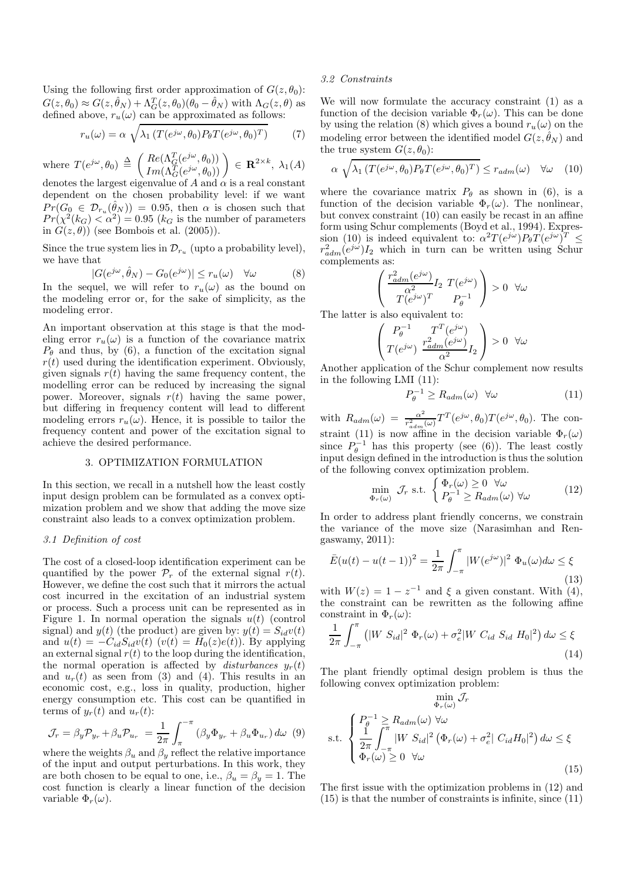Using the following first order approximation of  $G(z, \theta_0)$ :  $G(z, \theta_0) \approx G(z, \hat{\theta}_N) + \Lambda_G^T(z, \theta_0)(\theta_0 - \hat{\theta}_N)$  with  $\Lambda_G(z, \theta)$  as defined above,  $r_u(\omega)$  can be approximated as follows:

$$
r_u(\omega) = \alpha \sqrt{\lambda_1 \left( T(e^{j\omega}, \theta_0) P_{\theta} T(e^{j\omega}, \theta_0)^T \right)} \tag{7}
$$

where  $T(e^{j\omega}, \theta_0) \triangleq \begin{pmatrix} Re(\Lambda_G^T(e^{j\omega}, \theta_0)) \\ Im(\Lambda_G^T(e^{j\omega}, \theta_0)) \end{pmatrix}$  $\frac{Re(\Lambda_G^T(e^{j\omega}, \theta_0))}{Im(\Lambda_G^T(e^{j\omega}, \theta_0))}$   $\in \mathbf{R}^{2 \times k}$ ,  $\lambda_1(A)$ denotes the largest eigenvalue of A and  $\alpha$  is a real constant dependent on the chosen probability level: if we want  $Pr(G_0 \in \mathcal{D}_{r_u}(\hat{\theta}_N)) = 0.95$ , then  $\alpha$  is chosen such that  $Pr(\chi^2(k_G) < \alpha^2) = 0.95$  ( $k_G$  is the number of parameters in  $G(z, \theta)$ ) (see Bombois et al. (2005)).

Since the true system lies in  $\mathcal{D}_{r_u}$  (upto a probability level), we have that

$$
|G(e^{j\omega}, \hat{\theta}_N) - G_0(e^{j\omega})| \le r_u(\omega) \quad \forall \omega \tag{8}
$$

In the sequel, we will refer to  $r_u(\omega)$  as the bound on the modeling error or, for the sake of simplicity, as the modeling error.

An important observation at this stage is that the modeling error  $r_u(\omega)$  is a function of the covariance matrix  $P_{\theta}$  and thus, by (6), a function of the excitation signal  $r(t)$  used during the identification experiment. Obviously, given signals  $r(t)$  having the same frequency content, the modelling error can be reduced by increasing the signal power. Moreover, signals  $r(t)$  having the same power, but differing in frequency content will lead to different modeling errors  $r_u(\omega)$ . Hence, it is possible to tailor the frequency content and power of the excitation signal to achieve the desired performance.

# 3. OPTIMIZATION FORMULATION

In this section, we recall in a nutshell how the least costly input design problem can be formulated as a convex optimization problem and we show that adding the move size constraint also leads to a convex optimization problem.

#### 3.1 Definition of cost

The cost of a closed-loop identification experiment can be quantified by the power  $\mathcal{P}_r$  of the external signal  $r(t)$ . However, we define the cost such that it mirrors the actual cost incurred in the excitation of an industrial system or process. Such a process unit can be represented as in Figure 1. In normal operation the signals  $u(t)$  (control signal) and  $y(t)$  (the product) are given by:  $y(t) = S_{id}v(t)$ and  $u(t) = -C_{id}S_{id}v(t)$   $(v(t) = H_0(z)e(t))$ . By applying an external signal  $r(t)$  to the loop during the identification, the normal operation is affected by disturbances  $y_r(t)$ and  $u_r(t)$  as seen from (3) and (4). This results in an economic cost, e.g., loss in quality, production, higher energy consumption etc. This cost can be quantified in terms of  $y_r(t)$  and  $u_r(t)$ :

$$
\mathcal{J}_r = \beta_y \mathcal{P}_{y_r} + \beta_u \mathcal{P}_{u_r} = \frac{1}{2\pi} \int_{\pi}^{-\pi} (\beta_y \Phi_{y_r} + \beta_u \Phi_{u_r}) d\omega \quad (9)
$$

where the weights  $\beta_u$  and  $\beta_v$  reflect the relative importance of the input and output perturbations. In this work, they are both chosen to be equal to one, i.e.,  $\beta_u = \beta_y = 1$ . The cost function is clearly a linear function of the decision variable  $\Phi_r(\omega)$ .

# 3.2 Constraints

We will now formulate the accuracy constraint (1) as a function of the decision variable  $\Phi_r(\omega)$ . This can be done by using the relation (8) which gives a bound  $r_u(\omega)$  on the modeling error between the identified model  $G(z, \hat{\theta}_N)$  and the true system  $G(z, \theta_0)$ :

$$
\alpha \sqrt{\lambda_1 \left( T(e^{j\omega}, \theta_0) P_{\theta} T(e^{j\omega}, \theta_0)^T \right)} \le r_{adm}(\omega) \quad \forall \omega \quad (10)
$$

where the covariance matrix  $P_{\theta}$  as shown in (6), is a function of the decision variable  $\Phi_r(\omega)$ . The nonlinear, but convex constraint (10) can easily be recast in an affine form using Schur complements (Boyd et al., 1994). Expression (10) is indeed equivalent to:  $\alpha^2 T(e^{j\omega}) P_{\theta} T(e^{j\omega})^T \leq$  $r_{adm}^2(e^{j\omega})I_2$  which in turn can be written using Schur complements as:

$$
\left(\begin{array}{c} \frac{r_{adm}^2(e^{j\omega})}{\alpha^2}I_2\ T(e^{j\omega})\\ T(e^{j\omega})^T\end{array}\begin{array}{c}P_{\theta}^{-1}\end{array}\right)>0\quad\forall\omega
$$

The latter is also equivalent to:

$$
\left(\begin{array}{cc}P^{-1}_\theta & T^T(e^{j\omega})\\T(e^{j\omega}) & \frac{r^2_{adm}(e^{j\omega})}{\alpha^2}I_2\end{array}\right) > 0 \ \ \forall \omega
$$

Another application of the Schur complement now results in the following LMI (11):

$$
P_{\theta}^{-1} \ge R_{adm}(\omega) \quad \forall \omega \tag{11}
$$

with  $R_{adm}(\omega) = \frac{\alpha^2}{r^2}$  $\frac{\alpha^2}{r_{adm}^2(\omega)}T^T(e^{j\omega},\theta_0)T(e^{j\omega},\theta_0)$ . The constraint (11) is now affine in the decision variable  $\Phi_r(\omega)$ since  $P_{\theta}^{-1}$  has this property (see (6)). The least costly input design defined in the introduction is thus the solution of the following convex optimization problem.

$$
\min_{\Phi_r(\omega)} \mathcal{J}_r \text{ s.t. } \begin{cases} \Phi_r(\omega) \ge 0 \ \forall \omega \\ P_\theta^{-1} \ge R_{adm}(\omega) \ \forall \omega \end{cases} \tag{12}
$$

In order to address plant friendly concerns, we constrain the variance of the move size (Narasimhan and Rengaswamy, 2011):

$$
\bar{E}(u(t) - u(t-1))^2 = \frac{1}{2\pi} \int_{-\pi}^{\pi} |W(e^{j\omega})|^2 \Phi_u(\omega) d\omega \le \xi
$$
\n(13)

with  $W(z) = 1 - z^{-1}$  and  $\xi$  a given constant. With  $(4)$ , the constraint can be rewritten as the following affine constraint in  $\Phi_r(\omega)$ :

$$
\frac{1}{2\pi} \int_{-\pi}^{\pi} \left( |W \ S_{id}|^2 \ \Phi_r(\omega) + \sigma_e^2 |W \ C_{id} \ S_{id} \ H_0|^2 \right) d\omega \le \xi
$$
\n(14)

The plant friendly optimal design problem is thus the following convex optimization problem:

$$
\min_{\Phi_r(\omega)} \mathcal{J}_r
$$
\ns.t. 
$$
\begin{cases}\nP_\theta^{-1} \geq R_{adm}(\omega) \ \forall \omega \\
\frac{1}{2\pi} \int_{-\pi}^{\pi} |W S_{id}|^2 (\Phi_r(\omega) + \sigma_e^2 | C_{id} H_0|^2) d\omega \leq \xi \\
\Phi_r(\omega) \geq 0 \ \forall \omega\n\end{cases}
$$
\n(15)

The first issue with the optimization problems in (12) and  $(15)$  is that the number of constraints is infinite, since  $(11)$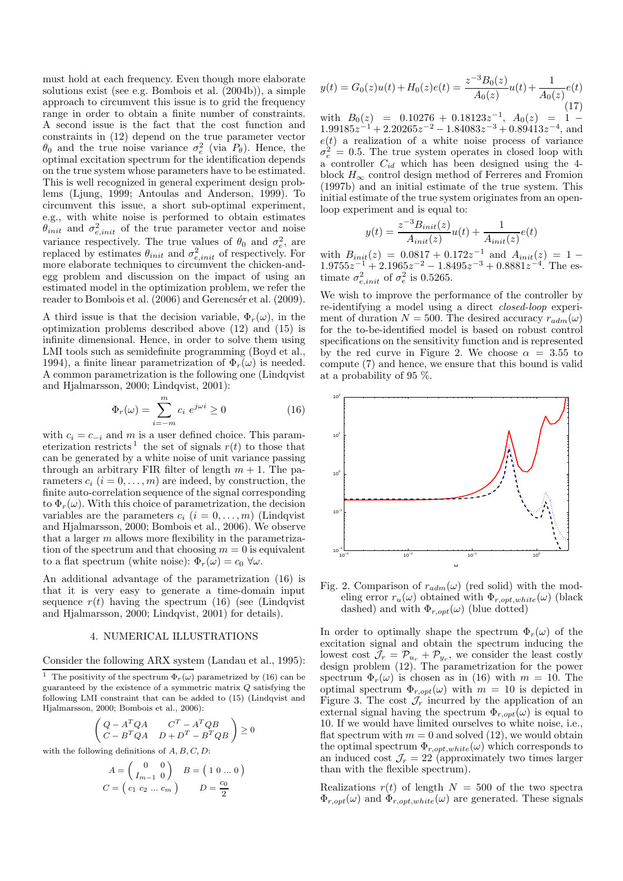must hold at each frequency. Even though more elaborate solutions exist (see e.g. Bombois et al. (2004b)), a simple approach to circumvent this issue is to grid the frequency range in order to obtain a finite number of constraints. A second issue is the fact that the cost function and constraints in (12) depend on the true parameter vector  $\theta_0$  and the true noise variance  $\sigma_e^2$  (via  $P_\theta$ ). Hence, the optimal excitation spectrum for the identification depends on the true system whose parameters have to be estimated. This is well recognized in general experiment design problems (Ljung, 1999; Antoulas and Anderson, 1999). To circumvent this issue, a short sub-optimal experiment, e.g., with white noise is performed to obtain estimates  $\theta_{init}$  and  $\sigma_{e,init}^2$  of the true parameter vector and noise variance respectively. The true values of  $\theta_0$  and  $\sigma_e^2$ , are replaced by estimates  $\theta_{init}$  and  $\sigma_{e,init}^2$  of respectively. For more elaborate techniques to circumvent the chicken-andegg problem and discussion on the impact of using an estimated model in the optimization problem, we refer the reader to Bombois et al. (2006) and Gerencsér et al. (2009).

A third issue is that the decision variable,  $\Phi_r(\omega)$ , in the optimization problems described above (12) and (15) is infinite dimensional. Hence, in order to solve them using LMI tools such as semidefinite programming (Boyd et al., 1994), a finite linear parametrization of  $\Phi_r(\omega)$  is needed. A common parametrization is the following one (Lindqvist and Hjalmarsson, 2000; Lindqvist, 2001):

$$
\Phi_r(\omega) = \sum_{i=-m}^m c_i \ e^{j\omega i} \ge 0 \tag{16}
$$

with  $c_i = c_{-i}$  and m is a user defined choice. This parameterization restricts<sup>1</sup> the set of signals  $r(t)$  to those that can be generated by a white noise of unit variance passing through an arbitrary FIR filter of length  $m + 1$ . The parameters  $c_i$   $(i = 0, \ldots, m)$  are indeed, by construction, the finite auto-correlation sequence of the signal corresponding to  $\Phi_r(\omega)$ . With this choice of parametrization, the decision variables are the parameters  $c_i$   $(i = 0, \ldots, m)$  (Lindqvist) and Hjalmarsson, 2000; Bombois et al., 2006). We observe that a larger  $m$  allows more flexibility in the parametrization of the spectrum and that choosing  $m = 0$  is equivalent to a flat spectrum (white noise):  $\Phi_r(\omega) = c_0 \ \forall \omega$ .

An additional advantage of the parametrization (16) is that it is very easy to generate a time-domain input sequence  $r(t)$  having the spectrum (16) (see (Lindqvist) and Hjalmarsson, 2000; Lindqvist, 2001) for details).

#### 4. NUMERICAL ILLUSTRATIONS

#### Consider the following ARX system (Landau et al., 1995):

<sup>1</sup> The positivity of the spectrum  $\Phi_r(\omega)$  parametrized by (16) can be guaranteed by the existence of a symmetric matrix  $Q$  satisfying the following LMI constraint that can be added to (15) (Lindqvist and Hjalmarsson, 2000; Bombois et al., 2006):

$$
\begin{pmatrix} Q - A^TQA & C^T - A^TQB \\ C - B^TQA & D + D^T - B^TQB \end{pmatrix} \ge 0
$$

with the following definitions of  $A, B, C, D$ :

 $\mathcal{L} = \mathcal{L}$ 

$$
A = \begin{pmatrix} 0 & 0 \\ I_{m-1} & 0 \end{pmatrix} \quad B = \begin{pmatrix} 1 & 0 \dots 0 \end{pmatrix}
$$

$$
C = \begin{pmatrix} c_1 & c_2 & \dots & c_m \end{pmatrix} \qquad D = \frac{c_0}{2}
$$

$$
y(t) = G_0(z)u(t) + H_0(z)e(t) = \frac{z^{-3}B_0(z)}{A_0(z)}u(t) + \frac{1}{A_0(z)}e(t)
$$
\n(17)

with  $B_0(z) = 0.10276 + 0.18123z^{-1}$ ,  $A_0(z) = 1$  $1.99185z^{-1} + 2.20265z^{-2} - 1.84083z^{-3} + 0.89413z^{-4}$ , and  $e(t)$  a realization of a white noise process of variance  $\sigma_e^2 = 0.5$ . The true system operates in closed loop with a controller  $C_{id}$  which has been designed using the 4block  $H_{\infty}$  control design method of Ferreres and Fromion (1997b) and an initial estimate of the true system. This initial estimate of the true system originates from an openloop experiment and is equal to:

$$
y(t) = \frac{z^{-3}B_{init}(z)}{A_{init}(z)}u(t) + \frac{1}{A_{init}(z)}e(t)
$$

with  $B_{init}(z) = 0.0817 + 0.172z^{-1}$  and  $A_{init}(z) = 1 1.9755z^{-1} + 2.1965z^{-2} - 1.8495z^{-3} + 0.8881z^{-4}$ . The estimate  $\sigma_{e,init}^2$  of  $\sigma_e^2$  is 0.5265.

We wish to improve the performance of the controller by re-identifying a model using a direct closed-loop experiment of duration  $N = 500$ . The desired accuracy  $r_{adm}(\omega)$ for the to-be-identified model is based on robust control specifications on the sensitivity function and is represented by the red curve in Figure 2. We choose  $\alpha = 3.55$  to compute (7) and hence, we ensure that this bound is valid at a probability of 95 %.



Fig. 2. Comparison of  $r_{adm}(\omega)$  (red solid) with the modeling error  $r_u(\omega)$  obtained with  $\Phi_{r,opt,white}(\omega)$  (black dashed) and with  $\Phi_{r,opt}(\omega)$  (blue dotted)

In order to optimally shape the spectrum  $\Phi_r(\omega)$  of the excitation signal and obtain the spectrum inducing the lowest cost  $\mathcal{J}_r = \mathcal{P}_{u_r} + \mathcal{P}_{y_r}$ , we consider the least costly design problem (12). The parametrization for the power spectrum  $\Phi_r(\omega)$  is chosen as in (16) with  $m = 10$ . The optimal spectrum  $\Phi_{r,opt}(\omega)$  with  $m = 10$  is depicted in Figure 3. The cost  $\mathcal{J}_r$  incurred by the application of an external signal having the spectrum  $\Phi_{r,opt}(\omega)$  is equal to 10. If we would have limited ourselves to white noise, i.e., flat spectrum with  $m = 0$  and solved (12), we would obtain the optimal spectrum  $\Phi_{r,opt,white}(\omega)$  which corresponds to an induced cost  $\mathcal{J}_r = 22$  (approximately two times larger than with the flexible spectrum).

Realizations  $r(t)$  of length  $N = 500$  of the two spectra  $\Phi_{r,out}(\omega)$  and  $\Phi_{r,out,white}(\omega)$  are generated. These signals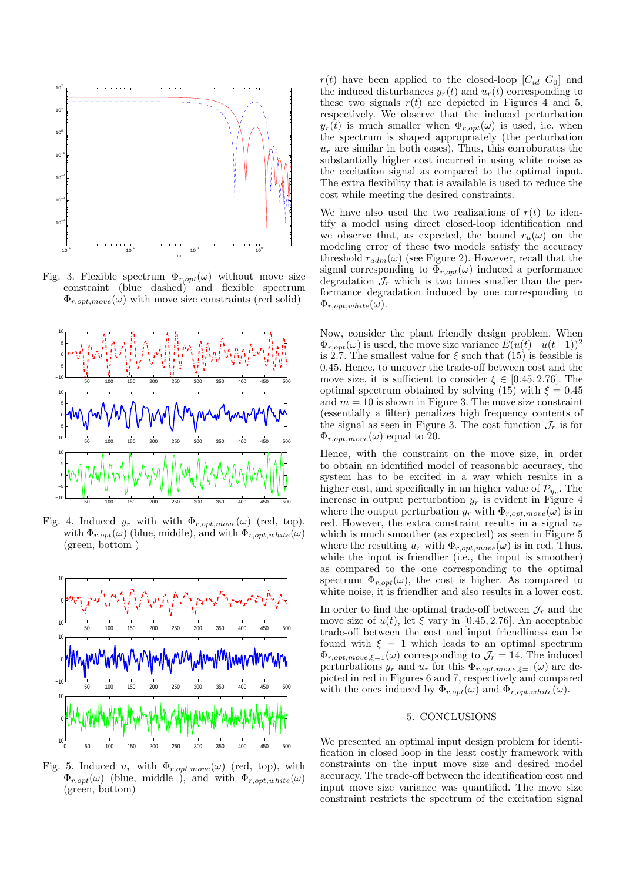

Fig. 3. Flexible spectrum  $\Phi_{r,opt}(\omega)$  without move size constraint (blue dashed) and flexible spectrum  $\Phi_{r,opt, move}(\omega)$  with move size constraints (red solid)



Fig. 4. Induced  $y_r$  with with  $\Phi_{r,opt,move}(\omega)$  (red, top), with  $\Phi_{r,opt}(\omega)$  (blue, middle), and with  $\Phi_{r,opt,white}(\omega)$ (green, bottom )



Fig. 5. Induced  $u_r$  with  $\Phi_{r,opt,move}(\omega)$  (red, top), with  $\Phi_{r. \text{opt}}(\omega)$  (blue, middle ), and with  $\Phi_{r, \text{opt,}white}(\omega)$ (green, bottom)

 $r(t)$  have been applied to the closed-loop  $[C_{id}, G_0]$  and the induced disturbances  $y_r(t)$  and  $u_r(t)$  corresponding to these two signals  $r(t)$  are depicted in Figures 4 and 5. respectively. We observe that the induced perturbation  $y_r(t)$  is much smaller when  $\Phi_{r,opt}(\omega)$  is used, i.e. when the spectrum is shaped appropriately (the perturbation  $u_r$  are similar in both cases). Thus, this corroborates the substantially higher cost incurred in using white noise as the excitation signal as compared to the optimal input. The extra flexibility that is available is used to reduce the cost while meeting the desired constraints.

We have also used the two realizations of  $r(t)$  to identify a model using direct closed-loop identification and we observe that, as expected, the bound  $r_u(\omega)$  on the modeling error of these two models satisfy the accuracy threshold  $r_{adm}(\omega)$  (see Figure 2). However, recall that the signal corresponding to  $\Phi_{r,opt}(\omega)$  induced a performance degradation  $\mathcal{J}_r$  which is two times smaller than the performance degradation induced by one corresponding to  $\Phi_{r,opt,white}(\omega).$ 

Now, consider the plant friendly design problem. When  $\Phi_{r,opt}(\omega)$  is used, the move size variance  $\bar{E}(u(t)-u(t-1))^2$ is 2.7. The smallest value for  $\xi$  such that (15) is feasible is 0.45. Hence, to uncover the trade-off between cost and the move size, it is sufficient to consider  $\xi \in [0.45, 2.76]$ . The optimal spectrum obtained by solving (15) with  $\xi = 0.45$ and  $m = 10$  is shown in Figure 3. The move size constraint (essentially a filter) penalizes high frequency contents of the signal as seen in Figure 3. The cost function  $\mathcal{J}_r$  is for  $\Phi_{r,opt, move}(\omega)$  equal to 20.

Hence, with the constraint on the move size, in order to obtain an identified model of reasonable accuracy, the system has to be excited in a way which results in a higher cost, and specifically in an higher value of  $\mathcal{P}_{y_r}$ . The increase in output perturbation  $y_r$  is evident in Figure 4 where the output perturbation  $y_r$  with  $\Phi_{r,opt,move}(\omega)$  is in red. However, the extra constraint results in a signal  $u_r$ which is much smoother (as expected) as seen in Figure 5 where the resulting  $u_r$  with  $\Phi_{r,opt,move}(\omega)$  is in red. Thus, while the input is friendlier (i.e., the input is smoother) as compared to the one corresponding to the optimal spectrum  $\Phi_{r,opt}(\omega)$ , the cost is higher. As compared to white noise, it is friendlier and also results in a lower cost.

In order to find the optimal trade-off between  $\mathcal{J}_r$  and the move size of  $u(t)$ , let  $\xi$  vary in [0.45, 2.76]. An acceptable trade-off between the cost and input friendliness can be found with  $\xi = 1$  which leads to an optimal spectrum  $\Phi_{r,opt, move, \xi=1}(\omega)$  corresponding to  $\mathcal{J}_r = 14$ . The induced perturbations  $y_r$  and  $u_r$  for this  $\Phi_{r,opt,move,\xi=1}(\omega)$  are depicted in red in Figures 6 and 7, respectively and compared with the ones induced by  $\Phi_{r, opt}(\omega)$  and  $\Phi_{r, opt, white}(\omega)$ .

# 5. CONCLUSIONS

We presented an optimal input design problem for identification in closed loop in the least costly framework with constraints on the input move size and desired model accuracy. The trade-off between the identification cost and input move size variance was quantified. The move size constraint restricts the spectrum of the excitation signal